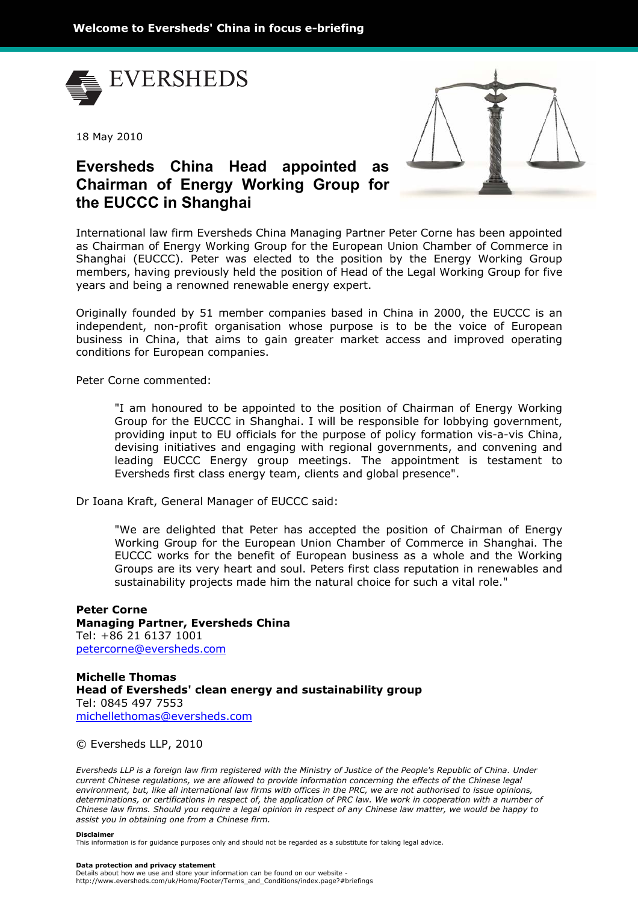

18 May 2010



## **Eversheds China Head appointed as Chairman of Energy Working Group for the EUCCC in Shanghai**

International law firm Eversheds China Managing Partner Peter Corne has been appointed as Chairman of Energy Working Group for the European Union Chamber of Commerce in Shanghai (EUCCC). Peter was elected to the position by the Energy Working Group members, having previously held the position of Head of the Legal Working Group for five years and being a renowned renewable energy expert.

Originally founded by 51 member companies based in China in 2000, the EUCCC is an independent, non-profit organisation whose purpose is to be the voice of European business in China, that aims to gain greater market access and improved operating conditions for European companies.

Peter Corne commented:

"I am honoured to be appointed to the position of Chairman of Energy Working Group for the EUCCC in Shanghai. I will be responsible for lobbying government, providing input to EU officials for the purpose of policy formation vis-a-vis China, devising initiatives and engaging with regional governments, and convening and leading EUCCC Energy group meetings. The appointment is testament to Eversheds first class energy team, clients and global presence".

Dr Ioana Kraft, General Manager of EUCCC said:

"We are delighted that Peter has accepted the position of Chairman of Energy Working Group for the European Union Chamber of Commerce in Shanghai. The EUCCC works for the benefit of European business as a whole and the Working Groups are its very heart and soul. Peters first class reputation in renewables and sustainability projects made him the natural choice for such a vital role."

**Peter Corne Managing Partner, Eversheds China**  Tel: +86 21 6137 1001 petercorne@eversheds.com

**Michelle Thomas Head of Eversheds' clean energy and sustainability group**  Tel: 0845 497 7553 michellethomas@eversheds.com

© Eversheds LLP, 2010

*Eversheds LLP is a foreign law firm registered with the Ministry of Justice of the People's Republic of China. Under current Chinese regulations, we are allowed to provide information concerning the effects of the Chinese legal environment, but, like all international law firms with offices in the PRC, we are not authorised to issue opinions, determinations, or certifications in respect of, the application of PRC law. We work in cooperation with a number of Chinese law firms. Should you require a legal opinion in respect of any Chinese law matter, we would be happy to assist you in obtaining one from a Chinese firm.*

## **Disclaimer**

This information is for guidance purposes only and should not be regarded as a substitute for taking legal advice.

## **Data protection and privacy statement**

Details about how we use and store your information can be found on our website http://www.eversheds.com/uk/Home/Footer/Terms\_and\_Conditions/index.page?#briefings